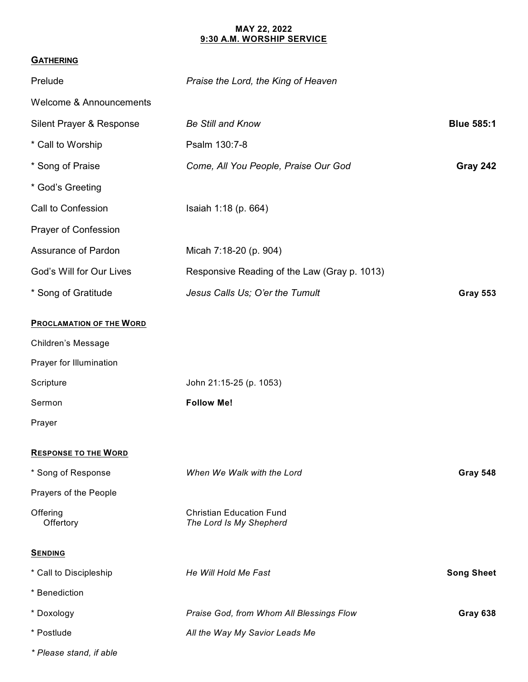## **MAY 22, 2022 9:30 A.M. WORSHIP SERVICE**

## **GATHERING**

| Prelude                            | Praise the Lord, the King of Heaven                        |                   |
|------------------------------------|------------------------------------------------------------|-------------------|
| <b>Welcome &amp; Announcements</b> |                                                            |                   |
| Silent Prayer & Response           | <b>Be Still and Know</b>                                   | <b>Blue 585:1</b> |
| * Call to Worship                  | Psalm 130:7-8                                              |                   |
| * Song of Praise                   | Come, All You People, Praise Our God                       | Gray 242          |
| * God's Greeting                   |                                                            |                   |
| Call to Confession                 | Isaiah 1:18 (p. 664)                                       |                   |
| Prayer of Confession               |                                                            |                   |
| Assurance of Pardon                | Micah 7:18-20 (p. 904)                                     |                   |
| God's Will for Our Lives           | Responsive Reading of the Law (Gray p. 1013)               |                   |
| * Song of Gratitude                | Jesus Calls Us; O'er the Tumult                            | <b>Gray 553</b>   |
| <b>PROCLAMATION OF THE WORD</b>    |                                                            |                   |
| Children's Message                 |                                                            |                   |
| Prayer for Illumination            |                                                            |                   |
| Scripture                          | John 21:15-25 (p. 1053)                                    |                   |
| Sermon                             | <b>Follow Me!</b>                                          |                   |
| Prayer                             |                                                            |                   |
| <b>RESPONSE TO THE WORD</b>        |                                                            |                   |
| * Song of Response                 | When We Walk with the Lord                                 | Gray 548          |
| Prayers of the People              |                                                            |                   |
| Offering<br>Offertory              | <b>Christian Education Fund</b><br>The Lord Is My Shepherd |                   |
| <b>SENDING</b>                     |                                                            |                   |
| * Call to Discipleship             | He Will Hold Me Fast                                       | <b>Song Sheet</b> |
| * Benediction                      |                                                            |                   |
| * Doxology                         | Praise God, from Whom All Blessings Flow                   | Gray 638          |
| * Postlude                         | All the Way My Savior Leads Me                             |                   |
| * Please stand, if able            |                                                            |                   |